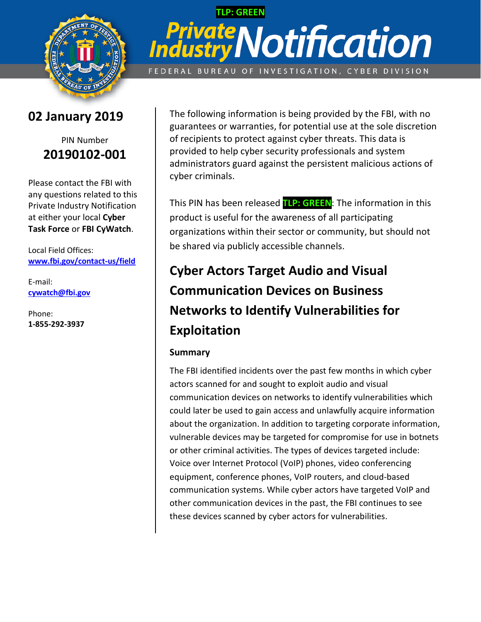

# **TLP: GREEN** *<u>stry</u>Notification* Indu

FEDERAL BUREAU OF INVESTIGATION, CYBER DIVISION

### **02 January 2019**

### PIN Number **20190102-001**

Please contact the FBI with any questions related to this Private Industry Notification at either your local **Cyber Task Force** or **FBI CyWatch**.

Local Field Offices: **[www.fbi.gov/contact-us/field](http://www.fbi.gov/contact-us/field)**

E-mail: **[cywatch@fbi.gov](mailto:cywatch@fbi.gov)**

Phone: **1-855-292-3937**

The following information is being provided by the FBI, with no guarantees or warranties, for potential use at the sole discretion of recipients to protect against cyber threats. This data is provided to help cyber security professionals and system administrators guard against the persistent malicious actions of cyber criminals.

This PIN has been released **TLP: GREEN**: The information in this product is useful for the awareness of all participating organizations within their sector or community, but should not be shared via publicly accessible channels.

## **Cyber Actors Target Audio and Visual Communication Devices on Business Networks to Identify Vulnerabilities for Exploitation**

#### **Summary**

The FBI identified incidents over the past few months in which cyber actors scanned for and sought to exploit audio and visual communication devices on networks to identify vulnerabilities which could later be used to gain access and unlawfully acquire information about the organization. In addition to targeting corporate information, vulnerable devices may be targeted for compromise for use in botnets or other criminal activities. The types of devices targeted include: Voice over Internet Protocol (VoIP) phones, video conferencing equipment, conference phones, VoIP routers, and cloud-based communication systems. While cyber actors have targeted VoIP and other communication devices in the past, the FBI continues to see these devices scanned by cyber actors for vulnerabilities.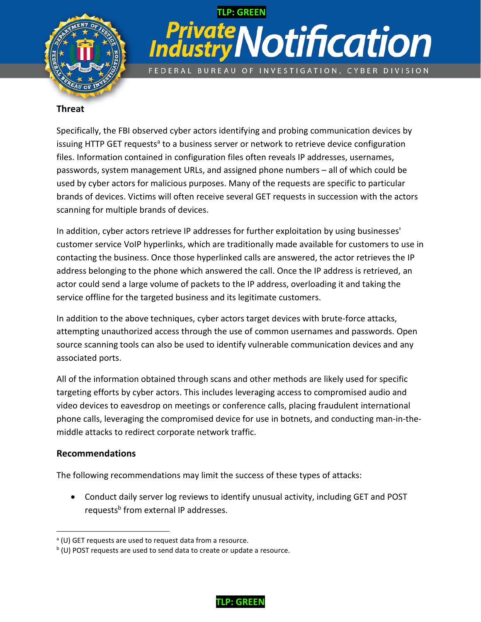

## **TLP: GREEN** Notification ate FEDERAL BUREAU OF INVESTIGATION, CYBER DIVISION

#### **Threat**

Specifically, the FBI observed cyber actors identifying and probing communication devices by issuing HTTP GET requests<sup>a</sup> to a business server or network to retrieve device configuration files. Information contained in configuration files often reveals IP addresses, usernames, passwords, system management URLs, and assigned phone numbers – all of which could be used by cyber actors for malicious purposes. Many of the requests are specific to particular brands of devices. Victims will often receive several GET requests in succession with the actors scanning for multiple brands of devices.

In addition, cyber actors retrieve IP addresses for further exploitation by using businesses' customer service VoIP hyperlinks, which are traditionally made available for customers to use in contacting the business. Once those hyperlinked calls are answered, the actor retrieves the IP address belonging to the phone which answered the call. Once the IP address is retrieved, an actor could send a large volume of packets to the IP address, overloading it and taking the service offline for the targeted business and its legitimate customers.

In addition to the above techniques, cyber actors target devices with brute-force attacks, attempting unauthorized access through the use of common usernames and passwords. Open source scanning tools can also be used to identify vulnerable communication devices and any associated ports.

All of the information obtained through scans and other methods are likely used for specific targeting efforts by cyber actors. This includes leveraging access to compromised audio and video devices to eavesdrop on meetings or conference calls, placing fraudulent international phone calls, leveraging the compromised device for use in botnets, and conducting man-in-themiddle attacks to redirect corporate network traffic.

#### **Recommendations**

The following recommendations may limit the success of these types of attacks:

 Conduct daily server log reviews to identify unusual activity, including GET and POST requests<sup>b</sup> from external IP addresses.



 $\overline{a}$ <sup>a</sup> (U) GET requests are used to request data from a resource.

<sup>&</sup>lt;sup>b</sup> (U) POST requests are used to send data to create or update a resource.